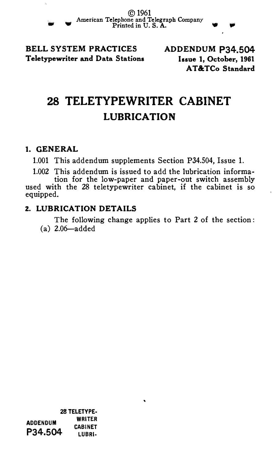© 1961 American Telephone and Telegraph Company<br>Printed in U.S. A.

BELL SYSTEM PRACTICES Teletypewriter and Data Stations ADDENDUM P34.504 Issue 1, October, 1961 AT &TCo Standard

# 28 TELETYPEWRITER CABINET LUBRICATION

### 1. GENERAL

..

1.001 This addendum supplements Section P34.504, Issue 1.

1.002 This addendum is issued to add the lubrication information for the low-paper and paper-out switch assembly

used with the 28 teletypewriter cabinet, if the cabinet is so equipped.

## 2. LUBRICATION DETAILS

The following change applies to Part 2 of the section: (a) 2.06-added

 $\ddot{\phantom{0}}$ 

28 TELETYPE· WRITER<br>P34.504 LUBRI-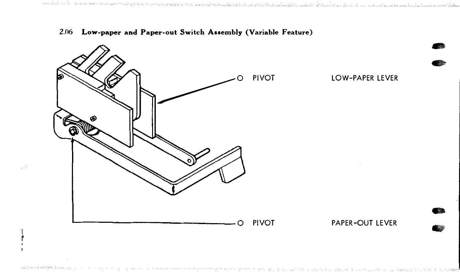

### 2.06 Low-paper and Paper-out Switch Assembly (Variable Feature)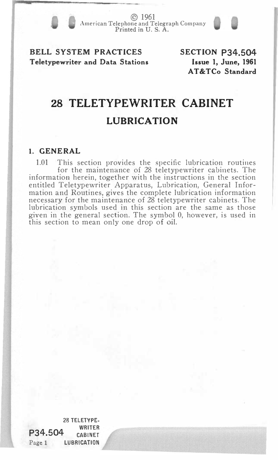© 1961 American Telephone and Telegraph Company Printed in U.S. A.

## BELL SYSTEM PRACTICES Teletypewriter and Data Stations

SECTION P34.504 Issue 1, June, 1961 AT&TCo Standard

# 28 TELETYPEWRITER CABINET LUBRICATION

### 1. GENERAL

1.01 This section provides the specific lubrication routines for the maintenance of 28 teletypewriter cabinets. The information herein, together with the instructions in the section entitled Teletypewriter Apparatus, Lubrication, General Information and Routines, gives the complete lubrication information necessary for the maintenance of 28 teletypewriter cabinets. The lubrication symbols used in this section are the same as those given in the general section. The symbol 0, however, is used in this section to mean only one drop of oil.

28 TELETYPE-P34.504 Page 1 WRITER CABINET LUBRICATION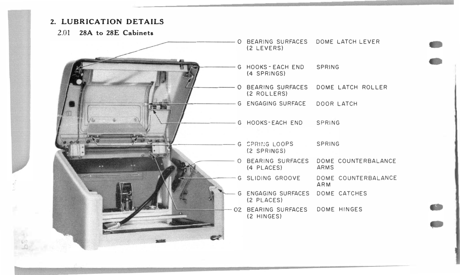### 2. LUBRICATION DETAILS

2.01 28A to 28E Cabinets

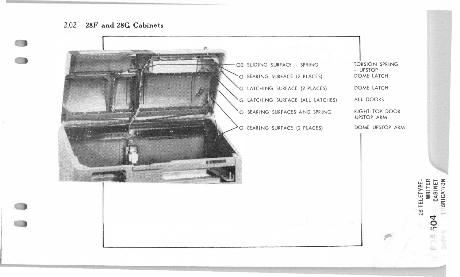#### 2.02 28F and 28G Cabinets



**WRITER** CABINET<br>SRICATION **TELETYPE**  $rac{3}{2}$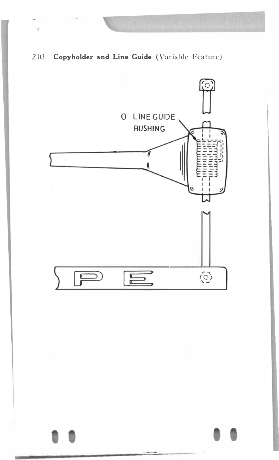

 $\eta$ 

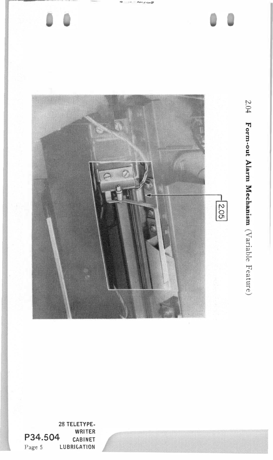

28 TELETYPE-WRITER P34.504 CABINET Page 5 LUBRICATION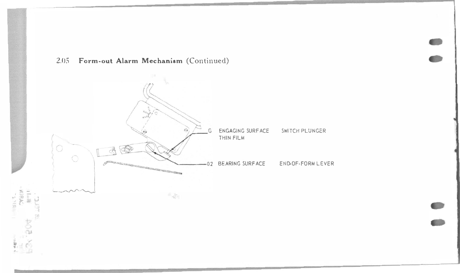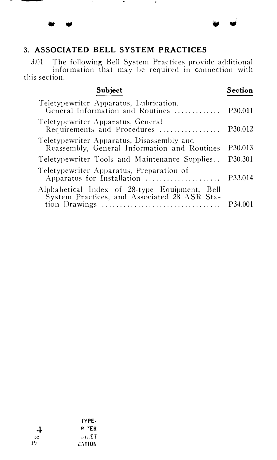### 3. ASSOCIATED BELL SYSTEM PRACTICES

3.01 The following Bell System Practices provide additional information that may be required in connection with this section.

• • w •

Subject Teletypewriter Apparatus, Lubrication, General Information and Routines ............ . Teletypewriter Apparatus, General Requirements and Procedures ................. Teletypewriter Apparatus, Disassembly and Reassembly, General Information and Routines Teletypewriter Tools and Maintenance Supplies .. Teletypewriter Apparatus, Preparation of Apparatus for Installation ................ Alphabetical Index of 28-type Equipment, Bell System Practices, and Associated 28 ASR Station Drawings ................................ . Section P30.011 P30.012 P30.013 P30.301 P33.014 P<sub>34.001</sub>

|                 | iYPE-         |
|-----------------|---------------|
| 4               | <b>R</b> FER  |
| кe              | $-1.5E$ T     |
| $P_{\tilde{r}}$ | <b>CATION</b> |